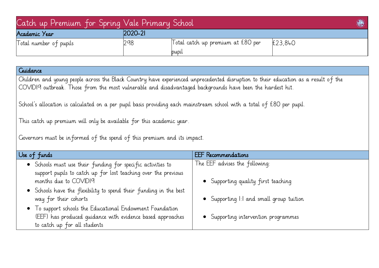| Catch up Premium For Spring Vale Primary School |            |                                            | S       |
|-------------------------------------------------|------------|--------------------------------------------|---------|
| Academic Year                                   | $ 2020-2 $ |                                            |         |
| Total number of pupils                          | 298        | Total catch up premium at £80 per<br>pupil | £23,840 |

| Guidance                                                                                                                                                                                                                                        |                                        |  |  |  |  |
|-------------------------------------------------------------------------------------------------------------------------------------------------------------------------------------------------------------------------------------------------|----------------------------------------|--|--|--|--|
| Children and young people across the Black Country have experienced unprecedented disruption to their education as a result of the<br>COVIDI9 outbreak. Those from the most vulnerable and disadvantaged backgrounds have been the hardest hit. |                                        |  |  |  |  |
| School's allocation is calculated on a per pupil basis providing each mainstream school with a total of £80 per pupil.                                                                                                                          |                                        |  |  |  |  |
| This catch up premium will only be available for this academic year.                                                                                                                                                                            |                                        |  |  |  |  |
| Governors must be in formed of the spend of this premium and its impact.                                                                                                                                                                        |                                        |  |  |  |  |
| Use of funds                                                                                                                                                                                                                                    | <b>EEF</b> Recommendations             |  |  |  |  |
| • Schools must use their funding for specific activities to<br>support pupils to catch up for lost teaching over the previous                                                                                                                   | The EEF advises the following:         |  |  |  |  |
| months due to COVIDI9                                                                                                                                                                                                                           | Supporting quality first teaching      |  |  |  |  |
| • Schools have the flexibility to spend their funding in the best<br>way for their cohorts                                                                                                                                                      | Supporting I:I and small group tuition |  |  |  |  |
| • To support schools the Educational Endowment Foundation<br>(EEF) has produced quidance with evidence based approaches<br>to catch up for all students                                                                                         | Supporting intervention programmes     |  |  |  |  |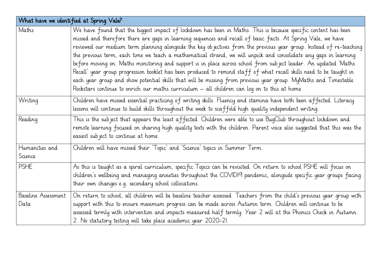| What have we identified at Spring Vale? |                                                                                                                                                                                                                                                                                                                                                                                                                                                                                                                                                                                                                                                                                                                                                                                                                                                                                                                                          |  |  |  |
|-----------------------------------------|------------------------------------------------------------------------------------------------------------------------------------------------------------------------------------------------------------------------------------------------------------------------------------------------------------------------------------------------------------------------------------------------------------------------------------------------------------------------------------------------------------------------------------------------------------------------------------------------------------------------------------------------------------------------------------------------------------------------------------------------------------------------------------------------------------------------------------------------------------------------------------------------------------------------------------------|--|--|--|
| Maths                                   | We have found that the biggest impact of lockdown has been in Maths. This is because specific content has been<br>missed and therefore there are gaps in learning sequences and recall of basic facts. At Spring Vale, we have<br>reviewed our medium term planning alongside the key objectives from the previous year group. Instead of re-teaching<br>the previous term, each time we teach a mathematical strand, we will unpick and consolidate any gaps in learning<br>before moving on. Maths monitoring and support is in place across school from subject leader. An updated 'Maths<br>Recall' year group progression booklet has been produced to remind staff of what recall skills need to be taught in<br>each year group and show potential skills that will be missing from previous year group. MyMaths and Timestable<br>Rockstars continue to enrich our maths curriculum $-$ all children can log on to this at home. |  |  |  |
| Writing                                 | Children have missed essential practicing of writing skills. Fluency and stamina have both been affected. Literacy<br>lessons will continue to build skills throughout the week to scaffold high quality independent writing.                                                                                                                                                                                                                                                                                                                                                                                                                                                                                                                                                                                                                                                                                                            |  |  |  |
| Reading                                 | This is the subject that appears the least affected. Children were able to use BugClub throughout lockdown and<br>remote learning focused on sharing high quality texts with the children. Parent voice also suggested that this was the<br>easiest sub ject to continue at home.                                                                                                                                                                                                                                                                                                                                                                                                                                                                                                                                                                                                                                                        |  |  |  |
| Humanities and<br>Science               | Children will have missed their 'Topic' and 'Science' topics in Summer Term.                                                                                                                                                                                                                                                                                                                                                                                                                                                                                                                                                                                                                                                                                                                                                                                                                                                             |  |  |  |
| <b>PSHE</b>                             | As this is taught as a spiral curriculum, specific Topics can be revisited. On return to school PSHE will focus on<br>children's wellbeing and managing anxieties throughout the COVIDI9 pandemic, alongside specific year groups facing<br>their own changes e.g. secondary school collocations.                                                                                                                                                                                                                                                                                                                                                                                                                                                                                                                                                                                                                                        |  |  |  |
| Baseline Assessment<br>Data             | On return to school, all children will be baseline teacher assessed. Teachers from the child's previous year group with<br>support with this to ensure maximum progress can be made across Autumn term. Children will continue to be<br>assessed termly with intervention and impacts measured half termly. Year 2 will sit the Phonics Check in Autumn<br>2. No statutory testing will take place academic year 2020-21.                                                                                                                                                                                                                                                                                                                                                                                                                                                                                                                |  |  |  |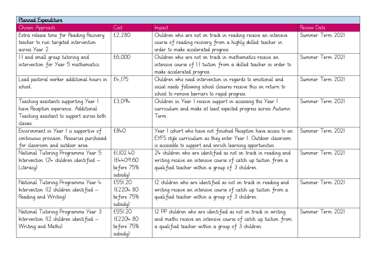| Planned Expenditure                       |            |                                                                    |                  |  |  |
|-------------------------------------------|------------|--------------------------------------------------------------------|------------------|--|--|
| Chosen Approach                           | Cost       | Impact                                                             | Review Date      |  |  |
| Extra release time for Reading Recovery   | £2.280     | Children who are not on track in reading receive an intensive      | Summer Term 2021 |  |  |
| teacher to run targeted intervention      |            | course of reading recovery from a highly skilled teacher in        |                  |  |  |
| across Year 2.                            |            | order to make accelerated progress.                                |                  |  |  |
| I:I and small group tutoring and          | £6,000     | Children who are not on track in mathematics receive an            | Summer Term 2021 |  |  |
| intervention for Year 5 mathematics.      |            | intensive course of I:I tuition from a skilled teacher in order to |                  |  |  |
|                                           |            | make accelerated progress.                                         |                  |  |  |
| Lead pastoral worker additional hours in  | f4,175     | Children who need intervention in regards to emotional and         | Summer Term 2021 |  |  |
| school.                                   |            | social needs following school closures receive this on return to   |                  |  |  |
|                                           |            | school to remove barriers to rapid progress.                       |                  |  |  |
| Teaching assistants supporting Year I     | £3,094     | Children in Year I receive support in accessing the Year I         | Summer Term 2021 |  |  |
| have Reception experience. Additional     |            | curriculum and make at least expected progress across Autumn       |                  |  |  |
| Teaching assistant to support across both |            | Term                                                               |                  |  |  |
| classes.                                  |            |                                                                    |                  |  |  |
| Environment in Year I is supportive of    | £840       | Year I cohort who have not finished Reception have access to an    | Summer Term 2021 |  |  |
| continuous provision. Resources purchased |            | EYFS style curriculum as they enter Year I. Outdoor classroom      |                  |  |  |
| for classroom and outdoor area.           |            | is accessible to support and enrich learning opportunities.        |                  |  |  |
| National Tutoring Programme Year 5        | £I.IO2.FO  | 24 children who are identified as not on track in reading and      | Summer Term 2021 |  |  |
| Intervention (24 children identified -    | (£4409.60  | writing receive an intensive course of catch up tuition from a     |                  |  |  |
| Literacy)                                 | before 75% | qualified teacher within a group of 3 children.                    |                  |  |  |
|                                           | subsidy)   |                                                                    |                  |  |  |
| National Tutoring Programme Year 4        | £551.20    | 12 children who are identified as not on track in reading and      | Summer Term 2021 |  |  |
| Intervention (12 children identified -    | (E2204.80) | writing receive an intensive course of catch up tuition from a     |                  |  |  |
| Reading and Writing)                      | before 75% | qualified teacher within a group of 3 children.                    |                  |  |  |
|                                           | subsidy)   |                                                                    |                  |  |  |
| National Tutoring Programme Year 3        | £551.20    | 12 PP children who are identified as not on track in writing       | Summer Term 2021 |  |  |
| Intervention (12 children identified -    | (£2204.80) | and maths receive an intensive course of catch up tuition from     |                  |  |  |
| Writing and Maths)                        | before 75% | a qualified teacher within a group of 3 children.                  |                  |  |  |
|                                           | subsidy)   |                                                                    |                  |  |  |